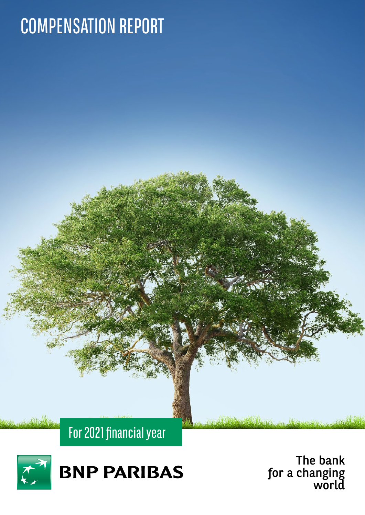# COMPENSATION REPORT



For 2021 financial year

The bank for a changing world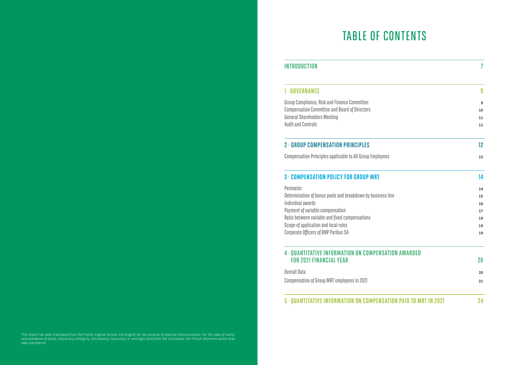# TABLE OF CONTENTS

## **INTRODUCTION**

## **1 · GOVERNANCE**

## **2 · GROUP COMPENSATION PRINCIPLES 12**

## **3 · COMPENSATION POLICY FOR GROUP MRT 14**

## **4 · QUANTITATIVE INFORMATION ON COMPENSATI FOR 2021 FINANCIAL YEAR 20**

## **5 · QUANTITATIVE INFORMATION ON COMPENSATI**

| INTRODUCTION                                                     | 7                 |
|------------------------------------------------------------------|-------------------|
| <b>1 · GOVERNANCE</b>                                            | 9                 |
| Group Compliance, Risk and Finance Committee                     | 9                 |
| <b>Compensation Committee and Board of Directors</b>             | 10                |
| <b>General Shareholders Meeting</b>                              | 11                |
| <b>Audit and Controls</b>                                        | 11                |
| <b>2 · GROUP COMPENSATION PRINCIPLES</b>                         | $12 \overline{ }$ |
| Compensation Principles applicable to All Group Employees        | 12                |
| 3 · COMPENSATION POLICY FOR GROUP MRT                            | 14                |
| Perimeter                                                        | 14                |
| Determination of bonus pools and breakdown by business line      | 15                |
| Individual awards                                                | 16                |
| Payment of variable compensation                                 | 17                |
| Ratio between variable and fixed compensations                   | 19                |
| Scope of application and local rules                             | 19                |
| Corporate Officers of BNP Paribas SA                             | 19                |
| 4 · QUANTITATIVE INFORMATION ON COMPENSATION AWARDED             |                   |
| <b>FOR 2021 FINANCIAL YEAR</b>                                   | $20\,$            |
| <b>Overall Data</b>                                              | 20                |
| Compensation of Group MRT employees in 2021                      | 21                |
| 5 . QUANTITATIVE INFORMATION ON COMPENSATION PAID TO MRT IN 2021 | 24                |

This report has been translated from the French original version into English for the purpose of external communication. For the sake of clarity and avoidance of doubt, should any ambiguity, discrepancy, inaccuracy or oversight arise from the translation, the French document alone shall take precedence.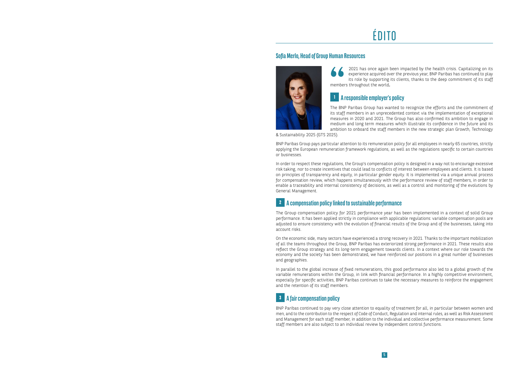5

2021 has once again been impacted by the health crisis. Capitalizing on its experience acquired over the previous year, BNP Paribas has continued to play its role by supporting its clients, thanks to the deep commitment of its staff members throughout the world.

## **<sup>1</sup> A responsible employer's policy**

The BNP Paribas Group has wanted to recognize the efforts and the commitment of its staff members in an unprecedented context via the implementation of exceptional measures in 2020 and 2021. The Group has also confirmed its ambition to engage in medium and long term measures which illustrate its confidence in the future and its ambition to onboard the staff members in the new strategic plan Growth, Technology

& Sustainability 2025 (GTS 2025).

BNP Paribas Group pays particular attention to its remuneration policy for all employees in nearly 65 countries, strictly applying the European remuneration framework regulations, as well as the regulations specific to certain countries or businesses.

In order to respect these regulations, the Group's compensation policy is designed in a way not to encourage excessive risk taking, nor to create incentives that could lead to conflicts of interest between employees and clients. It is based on principles of transparency and equity, in particular gender equity. It is implemented via a unique annual process for compensation review, which happens simultaneously with the performance review of staff members, in order to enable a traceability and internal consistency of decisions, as well as a control and monitoring of the evolutions by General Management.

## **<sup>2</sup> A compensation policy linked to sustainable performance**

The Group compensation policy for 2021 performance year has been implemented in a context of solid Group performance. It has been applied strictly in compliance with applicable regulations: variable compensation pools are adjusted to ensure consistency with the evolution of financial results of the Group and of the businesses, taking into account risks.

On the economic side, many sectors have experienced a strong recovery in 2021. Thanks to the important mobilization of all the teams throughout the Group, BNP Paribas has exteriorized strong performance in 2021. These results also reflect the Group strategy and its long-term engagement towards clients. In a context where our role towards the economy and the society has been demonstrated, we have reinforced our positions in a great number of businesses and geographies.

In parallel to the global increase of fixed remunerations, this good performance also led to a global growth of the variable remunerations within the Group, in link with financial performance. In a highly competitive environment, especially for specific activities, BNP Paribas continues to take the necessary measures to reinforce the engagement and the retention of its staff members.



BNP Paribas continued to pay very close attention to equality of treatment for all, in particular between women and men, and to the contribution to the respect of Code of Conduct, Regulation and internal rules, as well as Risk Assessment and Management for each staff member, in addition to the individual and collective performance measurement. Some staff members are also subject to an individual review by independent control functions.

# ÉDITO

## **Sofia Merlo, Head of Group Human Resources**

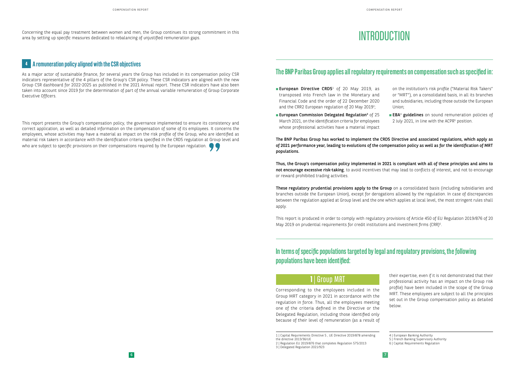# **INTRODUCTION**

Concerning the equal pay treatment between women and men, the Group continues its strong commitment in this area by setting up specific measures dedicated to rebalancing of unjustified remuneration gaps.

## **<sup>4</sup> A remuneration policy aligned with the CSR objectives**

This report presents the Group's compensation policy, the governance implemented to ensure its consistency and correct application, as well as detailed information on the compensation of some of its employees. It concerns the employees, whose activities may have a material as impact on the risk profile of the Group, who are identified as material risk takers in accordance with the identification criteria specified in the CRD5 regulation at Group level and who are subject to specific provisions on their compensations required by the European regulation.  $\bullet$ 

As a major actor of sustainable finance, for several years the Group has included in its compensation policy CSR indicators representative of the 4 pillars of the Group's CSR policy. These CSR indicators are aligned with the new Group CSR dashboard for 2022-2025 as published in the 2021 Annual report. These CSR indicators have also been taken into account since 2019 for the determination of part of the annual variable remuneration of Group Corporate Executive Officers.

- European Directive CRD5<sup>1</sup> of 20 May 2019, as transposed into French law in the Monetary and Financial Code and the order of 22 December 2020 and the CRR2 European regulation of 20 May 2019<sup>2</sup>;
- European Commission Delegated Regulation<sup>3</sup> of 25 March 2021, on the identification criteria for employees whose professional activities have a material impact

## **The BNP Paribas Group applies all regulatory requirements on compensation such as specified in:**

These regulatory prudential provisions apply to the Group on a consolidated basis (including subsidiaries and branches outside the European Union), except for derogations allowed by the regulation. In case of discrepancies between the regulation applied at Group level and the one which applies at local level, the most stringent rules shall apply.

This report is produced in order to comply with regulatory provisions of Article 450 of EU Regulation 2019/876 of 20 May 2019 on prudential requirements for credit institutions and investment firms (CRR)<sup>6</sup>.

on the institution's risk profile ("Material Risk Takers" or "MRT"), on a consolidated basis, in all its branches and subsidiaries, including those outside the European Union;

**EBA<sup>4</sup>** guidelines on sound remuneration policies of 2 July 2021, in line with the ACPR<sup>5</sup> position.

The BNP Paribas Group has worked to implement the CRD5 Directive and associated regulations, which apply as of 2021 performance year, leading to evolutions of the compensation policy as well as for the identification of MRT populations.

Thus, the Group's compensation policy implemented in 2021 is compliant with all of these principles and aims to not encourage excessive risk-taking, to avoid incentives that may lead to conflicts of interest, and not to encourage or reward prohibited trading activities.

## **1** | Group MRT

Corresponding to the employees included in the Group MRT category in 2021 in accordance with the regulation in force. Thus, all the employees meeting one of the criteria defined in the Directive or the Delegated Regulation, including those identified only because of their level of remuneration (as a result of

their expertise, even if it is not demonstrated that their professional activity has an impact on the Group risk profile) have been included in the scope of the Group MRT. These employees are subject to all the principles set out in the Group compensation policy as detailed below.

**In terms of specific populations targeted by legal and regulatory provisions, the following populations have been identified:**

<sup>1 |</sup> Capital Requirements Directive 5 , UE Directive 2019/878 amending

the directive 2013/36/UE

<sup>2 |</sup> Regulation EU 2019/876 that completes Regulation 575/2013

<sup>3 |</sup> Delegated Regulation 2021/923

<sup>4 |</sup> European Banking Authority

<sup>5 |</sup> French Banking Supervisory Authority

<sup>6 |</sup> Capital Requirements Regulation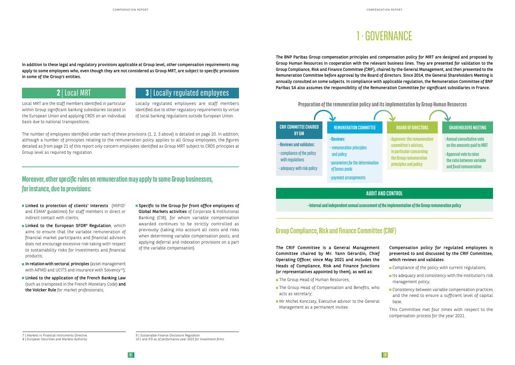In addition to these legal and regulatory provisions applicable at Group level, other compensation requirements may apply to some employees who, even though they are not considered as Group MRT, are subject to specific provisions in some of the Group's entities.

## **2** | Local MRT

Local MRT are the staff members identified in particular within Group significant banking subsidiaries located in the European Union and applying CRD5 on an individual basis due to national transpositions.

## **3** | Locally regulated employees

Locally regulated employees are staff members identified due to other regulatory requirements by virtue of local banking regulations outside European Union.

The number of employees identified under each of these provisions (1, 2, 3 above) is detailed on page 20. In addition, although a number of principles relating to the remuneration policy applies to all Group employees, the figures detailed as from page 21 of this report only concern employees identified as Group MRT subject to CRD5 principles at Group level as required by regulation.

- **Linked to protection of clients' interests** (MIFID<sup>7</sup> and ESMA8 guidelines) for staff members in direct or indirect contact with clients;
- Linked to the European SFDR<sup>9</sup> Regulation, which aims to ensure that the variable remuneration of financial market participants and financial advisors does not encourage excessive risk-taking with respect to sustainability risks for investments and financial products;
- $\blacksquare$  In relation with sectoral principles (asset management with AIFMD and UCITS and insurance with Solvency<sup>10</sup>);
- **Linked to the application of the French Banking Law** (such as transposed in the French Monetary Code) and the Volcker Rule for market professionals;
- Specific to the Group for front office employees of Global Markets activities of Corporate & Institutional Banking (CIB), for whom variable compensation awarded continues to be strictly controlled as previously (taking into account all costs and risks when determining variable compensation pools, and applying deferral and indexation provisions on a part of the variable compensation).

## **Moreover, other specific rules on remuneration may apply to some Group businesses, for instance, due to provisions:**

- The Group Head of Human Resources;
- The Group Head of Compensation and Benefits, who acts as secretary;
- **Mr Michel Konczaty, Executive advisor to the General** Management as a permanent invitee.
- Compliance of the policy with current regulations;
- $\blacksquare$  Its adequacy and consistency with the institution's risk management policy;
- Consistency between variable compensation practices and the need to ensure a sufficient level of capital base.

7 | Markets in Financial Instruments Directive

9 | Sustainable Finance Disclosure Regulation 10 | and IFD as of performance year 2022 for Investment firms

# 1 · GOVERNANCE

The BNP Paribas Group compensation principles and compensation policy for MRT are designed and proposed by Group Human Resources in cooperation with the relevant business lines. They are presented for validation to the Group Compliance, Risk and Finance Committee (CRIF), chaired by the General Management, and then presented to the Remuneration Committee before approval by the Board of directors. Since 2014, the General Shareholders Meeting is annually consulted on some subjects. In compliance with applicable regulation, the Remuneration Committee of BNP Paribas SA also assumes the responsibility of the Remuneration Committee for significant subsidiaries in France.

## **Group Compliance, Risk and Finance Committee (CRIF)**

The CRIF Committee is a General Management Committee chaired by Mr. Yann Gérardin, Chief Operating Officer, since May 2021 and includes the Heads of Compliance, Risk and Finance functions (or representatives appointed by them), as well as:

Compensation policy for regulated employees is presented to and discussed by the CRIF Committee, which reviews and validates:

This Committee met four times with respect to the compensation process for the year 2021.

### **AUDIT AND CONTROL**

**• Internal and independent annual assessment of the implementation of the Group remuneration policy**



<sup>8 |</sup> European Securities and Markets Authority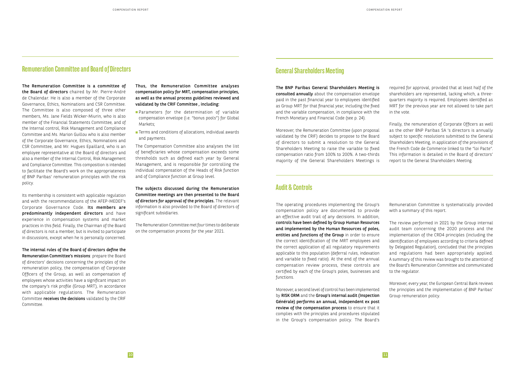## **Remuneration Committee and Board of Directors**

The Remuneration Committee is a committee of the Board of directors chaired by Mr. Pierre-André de Chalendar. He is also a member of the Corporate Governance, Ethics, Nominations and CSR Committee. The Committee is also composed of three other members, Ms. Jane Fields Wicker-Miurin, who is also member of the Financial Statements Committee, and of the Internal control, Risk Management and Compliance Committee and Ms. Marion Guillou who is also member of the Corporate Governance, Ethics, Nominations and CSR Committee, and Mr. Hugues Epaillard, who is an employee representative at the Board of directors and also a member of the Internal Control, Risk Management and Compliance Committee. This composition is intended to facilitate the Board's work on the appropriateness of BNP Paribas' remuneration principles with the risk policy.

- **Parameters for the determination of variable** compensation envelope (i.e. "bonus pools") for Global Markets;
- **Terms and conditions of allocations, individual awards** and payments.

Its membership is consistent with applicable regulation and with the recommendations of the AFEP-MEDEF's Corporate Governance Code. Its members are predominantly independent directors and have experience in compensation systems and market practices in this field. Finally, the Chairman of the Board of directors is not a member, but is invited to participate in discussions, except when he is personally concerned.

The internal rules of the Board of directors define the Remuneration Committee's missions: prepare the Board of directors' decisions concerning the principles of the remuneration policy, the compensation of Corporate Officers of the Group, as well as compensation of employees whose activities have a significant impact on the company's risk profile (Group MRT), in accordance with applicable regulations. The Remuneration Committee receives the decisions validated by the CRIF Committee.

Thus, the Remuneration Committee analyses compensation policy for MRT, compensation principles, as well as the annual process guidelines reviewed and validated by the CRIF Committee , including:

The Compensation Committee also analyses the list of beneficiaries whose compensation exceeds some thresholds such as defined each year by General Management, and is responsible for controlling the individual compensation of the Heads of Risk function and of Compliance function at Group level.

The subjects discussed during the Remuneration Committee meetings are then presented to the Board of directors for approval of the principles. The relevant information is also provided to the Board of directors of significant subsidiaries.

The Remuneration Committee met four times to deliberate on the compensation process for the year 2021.

## **General Shareholders Meeting**

The BNP Paribas General Shareholders Meeting is consulted annually about the compensation envelope paid in the past financial year to employees identified as Group MRT for that financial year, including the fixed and the variable compensation, in compliance with the French Monetary and Financial Code (see p. 24).

Moreover, the Remuneration Committee (upon proposal validated by the CRIF) decides to propose to the Board of directors to submit a resolution to the General Shareholders Meeting to raise the variable to fixed compensation ratio from 100% to 200%. A two-thirds majority of the General Shareholders Meetings is

required for approval, provided that at least half of the shareholders are represented, lacking which, a threequarters majority is required. Employees identified as MRT for the previous year are not allowed to take part in the vote.

Finally, the remuneration of Corporate Officers as well as the other BNP Paribas SA 's directors is annually subject to specific resolutions submitted to the General Shareholders Meeting, in application of the provisions of the French Code de Commerce linked to the "loi Pacte". This information is detailed in the Board of directors' report to the General Shareholders Meeting.

## **Audit & Controls**

The operating procedures implementing the Group's compensation policy are documented to provide an effective audit trail of any decisions. In addition, controls have been defined by Group Human Resources and implemented by the Human Resources of poles, entities and functions of the Group in order to ensure the correct identification of the MRT employees and the correct application of all regulatory requirements applicable to this population (deferral rules, indexation and variable to fixed ratio). At the end of the annual compensation review process, these controls are certified by each of the Group's poles, businesses and functions.

Moreover, a second level of control has been implemented by RISK ORM and the Group's internal audit (Inspection Générale) performs an annual, independent ex post review of the compensation process to ensure that it complies with the principles and procedures stipulated in the Group's compensation policy. The Board's

Remuneration Committee is systematically provided with a summary of this report.

The review performed in 2021 by the Group internal audit team concerning the 2020 process and the implementation of the CRD4 principles (including the identification of employees according to criteria defined by Delegated Regulation), concluded that the principles and regulations had been appropriately applied. A summary of this review was brought to the attention of the Board's Remuneration Committee and communicated to the regulator.

Moreover, every year, the European Central Bank reviews the principles and the implementation of BNP Paribas' Group remuneration policy.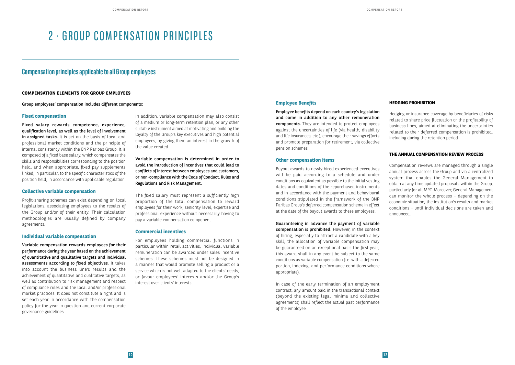# 2 · GROUP COMPENSATION PRINCIPLES

## **Compensation principles applicable to all Group employees**

#### **COMPENSATION ELEMENTS FOR GROUP EMPLOYEES**

Group employees' compensation includes different components:

#### **Fixed compensation**

Fixed salary rewards competence, experience, qualification level, as well as the level of involvement in assigned tasks. It is set on the basis of local and professional market conditions and the principle of internal consistency within the BNP Paribas Group. It is composed of a fixed base salary, which compensates the skills and responsibilities corresponding to the position held, and when appropriate, fixed pay supplements linked, in particular, to the specific characteristics of the position held, in accordance with applicable regulation.

#### **Collective variable compensation**

Profit-sharing schemes can exist depending on local legislations, associating employees to the results of the Group and/or of their entity. Their calculation methodologies are usually defined by company agreements.

#### **Individual variable compensation**

Variable compensation rewards employees for their performance during the year based on the achievement of quantitative and qualitative targets and individual assessments according to fixed objectives. It takes into account the business line's results and the achievement of quantitative and qualitative targets, as well as contribution to risk management and respect of compliance rules and the local and/or professional market practices. It does not constitute a right and is set each year in accordance with the compensation policy for the year in question and current corporate governance guidelines.

In addition, variable compensation may also consist of a medium or long-term retention plan, or any other suitable instrument aimed at motivating and building the loyalty of the Group's key executives and high potential employees, by giving them an interest in the growth of the value created.

Variable compensation is determined in order to avoid the introduction of incentives that could lead to conflicts of interest between employees and customers, or non-compliance with the Code of Conduct, Rules and Regulations and Risk Management.

The fixed salary must represent a sufficiently high proportion of the total compensation to reward employees for their work, seniority level, expertise and professional experience without necessarily having to pay a variable compensation component.

#### **Commercial incentives**

For employees holding commercial functions in particular within retail activities, individual variable remuneration can be awarded under sales incentive schemes. These schemes must not be designed in a manner that would promote selling a product or a service which is not well adapted to the clients' needs, or favour employees' interests and/or the Group's interest over clients' interests.

#### **Employee Benefits**

Employee benefits depend on each country's legislation and come in addition to any other remuneration components. They are intended to protect employees against the uncertainties of life (via health, disability and life insurances, etc.), encourage their savings efforts and promote preparation for retirement, via collective pension schemes.

#### **Other compensation items**

Buyout awards to newly hired experienced executives will be paid according to a schedule and under conditions as equivalent as possible to the initial vesting dates and conditions of the repurchased instruments and in accordance with the payment and behavioural conditions stipulated in the framework of the BNP Paribas Group's deferred compensation scheme in effect at the date of the buyout awards to these employees.

Guaranteeing in advance the payment of variable compensation is prohibited. However, in the context of hiring, especially to attract a candidate with a key skill, the allocation of variable compensation may be guaranteed on an exceptional basis the first year; this award shall in any event be subject to the same conditions as variable compensation (i.e. with a deferred portion, indexing, and performance conditions where appropriate).

In case of the early termination of an employment contract, any amount paid in the transactional context (beyond the existing legal minima and collective agreements) shall reflect the actual past performance of the employee.

### **HEDGING PROHIBITION**

Hedging or insurance coverage by beneficiaries of risks related to share price fluctuation or the profitability of business lines, aimed at eliminating the uncertainties related to their deferred compensation is prohibited, including during the retention period.

### **THE ANNUAL COMPENSATION REVIEW PROCESS**

Compensation reviews are managed through a single annual process across the Group and via a centralized system that enables the General Management to obtain at any time updated proposals within the Group, particularly for all MRT. Moreover, General Management can monitor the whole process – depending on the economic situation, the institution's results and market conditions - until individual decisions are taken and announced.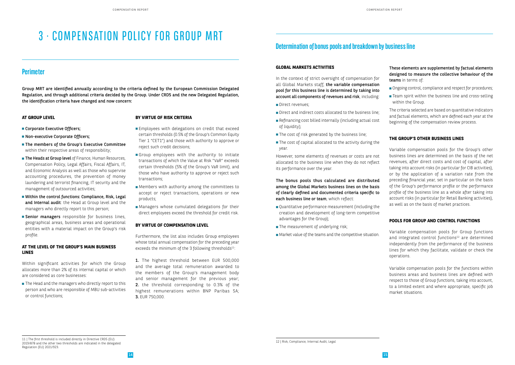# 3 · COMPENSATION POLICY FOR GROUP MRT

## **Perimeter**

Group MRT are identified annually according to the criteria defined by the European Commission Delegated Regulation, and through additional criteria decided by the Group. Under CRD5 and the new Delegated Regulation, the identification criteria have changed and now concern:

### **AT GROUP LEVEL**

- Corporate Executive Officers;
- Non-executive Corporate Officers;
- The members of the Group's Executive Committee within their respective areas of responsibility;
- **The Heads at Group level** of Finance, Human Resources, Compensation Policy, Legal Affairs, Fiscal Affairs, IT, and Economic Analysis as well as those who supervise accounting procedures, the prevention of money laundering and terrorist financing, IT security and the management of outsourced activities;
- Within the control functions: Compliance, Risk, Legal and Internal audit: the Head at Group level and the managers who directly report to this person;
- **Senior managers** responsible for business lines, geographical areas, business areas and operational entities with a material impact on the Group's risk profile.

The Head and the managers who directly report to this person and who are responsible of MBU sub-activities or control functions;

- **Employees with delegations on credit that exceed** certain thresholds (0.5% of the Group's Common Equity Tier 1 "CET1") and those with authority to approve or reject such credit decisions;
- Group employees with the authority to initiate transactions of which the Value at Risk "VaR" exceeds certain thresholds (5% of the Group's VaR limit), and those who have authority to approve or reject such transactions;
- **Members with authority among the committees to** accept or reject transactions, operations or new products;
- **Managers whose cumulated delegations for their** direct employees exceed the threshold for credit risk.

Furthermore, the list also includes Group employees whose total annual compensation for the preceding year exceeds the minimum of the 3 following thresholds $11$ :

### **AT THE LEVEL OF THE GROUP'S MAIN BUSINESS LINES**

Within significant activities for which the Group allocates more than 2% of its internal capital or which are considered as core businesses:

1. The highest threshold between EUR 500,000 and the average total remuneration awarded to the members of the Group's management body and senior management for the previous year; 2. the threshold corresponding to 0.3% of the highest remunerations within BNP Paribas SA; 3. EUR 750,000.

### **BY VIRTUE OF RISK CRITERIA**

- Direct revenues:
- Direct and indirect costs allocated to the business line:
- Refinancing cost billed internally (including actual cost of liquidity);
- $\blacksquare$  The cost of risk generated by the business line;
- $\blacksquare$  The cost of capital allocated to the activity during the year.

The bonus pools thus calculated are distributed among the Global Markets business lines on the basis of clearly defined and documented criteria specific to each business line or team, which reflect:

- Ongoing control, compliance and respect for procedures;
- $\blacksquare$  Team spirit within the business line and cross-selling within the Group.

#### **BY VIRTUE OF COMPENSATION LEVEL**

## **Determination of bonus pools and breakdown by business line**

### **GLOBAL MARKETS ACTIVITIES**

In the context of strict oversight of compensation for all Global Markets staff, the variable compensation pool for this business line is determined by taking into account all components of revenues and risk, including:

However, some elements of revenues or costs are not allocated to the business line when they do not reflect its performance over the year.

- Quantitative performance measurement (including the creation and development of long-term competitive advantages for the Group);
- $\blacksquare$  The measurement of underlying risk;
- Market value of the teams and the competitive situation.

These elements are supplemented by factual elements designed to measure the collective behaviour of the teams in terms of:

The criteria selected are based on quantitative indicators and factual elements, which are defined each year at the beginning of the compensation review process.

#### **THE GROUP'S OTHER BUSINESS LINES**

Variable compensation pools for the Group's other business lines are determined on the basis of the net revenues, after direct costs and cost of capital, after taking into account risks (in particular for CIB activities), or by the application of a variation rate from the preceding financial year, set in particular on the basis of the Group's performance profile or the performance profile of the business line as a whole after taking into account risks (in particular for Retail Banking activities), as well as on the basis of market practices.

### **POOLS FOR GROUP AND CONTROL FUNCTIONS**

Variable compensation pools for Group functions and integrated control functions<sup>12</sup> are determined independently from the performance of the business lines for which they facilitate, validate or check the operations.

Variable compensation pools for the functions within business areas and business lines are defined with respect to those of Group functions, taking into account, to a limited extent and where appropriate, specific job market situations.

<sup>11 |</sup> The first threshold is included directly in Directive CRD5 (EU)  $\frac{12}{12}$  Risk, Compliance, Internal Audit, Legal 2019/878 and the other two thresholds are indicated in the delegated Regulation (EU) 2021/923.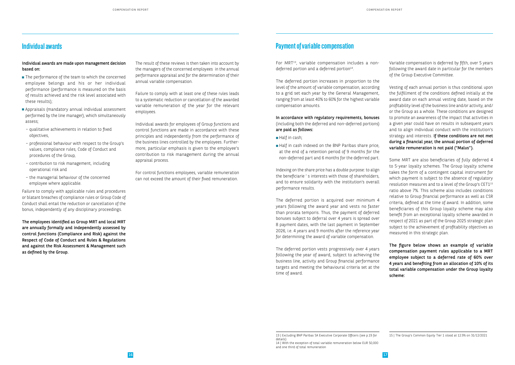## **Individual awards**

### Individual awards are made upon management decision based on:

- The performance of the team to which the concerned employee belongs and his or her individual performance (performance is measured on the basis of results achieved and the risk level associated with these results);
- Appraisals (mandatory annual individual assessment performed by the line manager), which simultaneously assess;
- qualitative achievements in relation to fixed objectives,
- professional behaviour with respect to the Group's values, compliance rules, Code of Conduct and procedures of the Group,
- contribution to risk management, including operational risk and
- the managerial behaviour of the concerned employee where applicable.

Failure to comply with applicable rules and procedures or blatant breaches of compliance rules or Group Code of Conduct shall entail the reduction or cancellation of the bonus, independently of any disciplinary proceedings.

The employees identified as Group MRT and local MRT are annually formally and independently assessed by control functions (Compliance and Risk) against the Respect of Code of Conduct and Rules & Regulations and against the Risk Assessment & Management such as defined by the Group.

The result of these reviews is then taken into account by the managers of the concerned employees in the annual performance appraisal and for the determination of their annual variable compensation.

- Half in cash;
- Half in cash indexed on the BNP Paribas share price, at the end of a retention period of 9 months for the non-deferred part and 6 months for the deferred part.

Failure to comply with at least one of these rules leads to a systematic reduction or cancellation of the awarded variable remuneration of the year for the relevant employees.

Individual awards for employees of Group functions and control functions are made in accordance with these principles and independently from the performance of the business lines controlled by the employees. Furthermore, particular emphasis is given to the employee's contribution to risk management during the annual appraisal process.

For control functions employees, variable remuneration can not exceed the amount of their fixed remuneration.

## **Payment of variable compensation**

For MRT<sup>13</sup>, variable compensation includes a nondeferred portion and a deferred portion<sup>14</sup>.

The deferred portion increases in proportion to the level of the amount of variable compensation, according to a grid set each year by the General Management, ranging from at least 40% to 60% for the highest variable compensation amounts.

In accordance with regulatory requirements, bonuses (including both the deferred and non-deferred portions) are paid as follows:

Indexing on the share price has a double purpose: to align the beneficiarie ' s interests with those of shareholders, and to ensure solidarity with the institution's overall performance results.

The deferred portion is acquired over minimum 4 years following the award year and vests no faster than prorata temporis. Thus, the payment of deferred bonuses subject to deferral over 4 years is spread over 8 payment dates, with the last payment in September 2026, i.e. 4 years and 9 months after the reference year for determining the award of variable compensation.

The deferred portion vests progressively over 4 years following the year of award, subject to achieving the business line, activity and Group financial performance targets and meeting the behavioural criteria set at the time of award.

Variable compensation is deferred by fifth, over 5 years following the award date in particular for the members of the Group Executive Committee.

Vesting of each annual portion is thus conditional upon the fulfillment of the conditions defined initially at the award date on each annual vesting date, based on the profitability level of the business line and/or activity, and/ or the Group as a whole. These conditions are designed to promote an awareness of the impact that activities in a given year could have on results in subsequent years and to align individual conduct with the institution's strategy and interests. If these conditions are not met during a financial year, the annual portion of deferred variable remuneration is not paid ("Malus").

Some MRT are also beneficiaries of fully deferred 4 to 5-year loyalty schemes.. The Group loyalty scheme takes the form of a contingent capital instrument for which payment is subject to the absence of regulatory resolution measures and to a level of the Group's CET115 ratio above 7%. This scheme also includes conditions relative to Group financial performance as well as CSR criteria, defined at the time of award. In addition, some beneficiaries of this Group loyalty scheme may also benefit from an exceptional loyalty scheme awarded in respect of 2021 as part of the Group 2025 strategic plan subject to the achievement of profitability objectives as measured in this strategic plan.

The figure below shows an example of variable compensation payment rules applicable to a MRT employee subject to a deferred rate of 60% over 4 years and benefiting from an allocation of 10% of its total variable compensation under the Group loyalty scheme:

<sup>13 |</sup> Excluding BNP Paribas SA Executive Corporate Officers (see p.19 for details)

<sup>14 |</sup> With the exception of total variable remuneration below EUR 50,000 and one third of total remuneration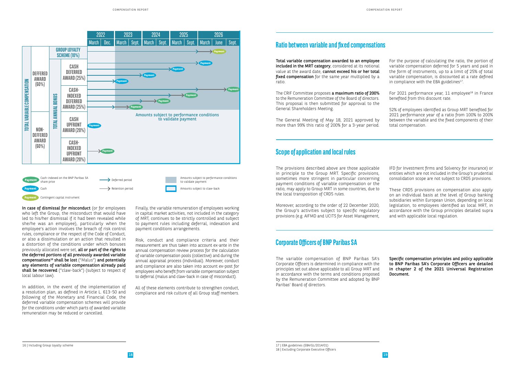In case of dismissal for misconduct (or for employees who left the Group, the misconduct that would have led to his/her dismissal if it had been revealed while she/he was an employee), particularly when the employee's action involves the breach of risk control rules, compliance or the respect of the Code of Conduct, or also a dissimulation or an action that resulted in a distortion of the conditions under which bonuses previously allocated were set, all or part of the rights to the deferred portions of all previously awarded variable compensations<sup>16</sup> shall be lost ("Malus") and potentially any elements of variable compensation already paid shall be recovered ("claw-back") (subject to respect of local labour law).

In addition, in the event of the implementation of a resolution plan, as defined in Article L. 613-50 and following of the Monetary and Financial Code, the deferred variable compensation schemes will provide for the conditions under which parts of awarded variable remuneration may be reduced or cancelled.

Finally, the variable remuneration of employees working in capital market activities, not included in the category of MRT, continues to be strictly controlled and subject to payment rules including deferral, indexation and payment conditions arrangements.

The CRIF Committee proposes a maximum ratio of 200% to the Remuneration Committee of the Board of directors. This proposal is then submitted for approval to the General Shareholders Meeting.

For the purpose of calculating the ratio, the portion of variable compensation deferred for 5 years and paid in the form of instruments, up to a limit of 25% of total variable compensation, is discounted at a rate defined in compliance with the EBA guidelines $17$ .

Risk, conduct and compliance criteria and their measurement are thus taken into account ex-ante in the annual compensation review process for the calculation of variable compensation pools (collective) and during the annual appraisal process (individual). Moreover, conduct and compliance are also taken into account ex-post for employees who benefit from variable compensation subject to deferral (malus and claw-back in case of misconduct).

For 2021 performance year, 11 employee<sup>18</sup> in France benefited from this discount rate.

All of these elements contribute to strengthen conduct, compliance and risk culture of all Group staff members.

**Payment** Contingent capital instrument

## **Ratio between variable and fixed compensations**

Total variable compensation awarded to an employee included in the MRT category, considered at its notional value at the award date, cannot exceed his or her total fixed compensation for the same year multiplied by a ratio.

The General Meeting of May 18, 2021 approved by more than 99% this ratio of 200% for a 3-year period.

52% of employees identified as Group MRT benefited for 2021 performance year of a ratio from 100% to 200% between the variable and the fixed components of their total compensation.

## **Scope of application and local rules**



The provisions described above are those applicable in principle to the Group MRT. Specific provisions, sometimes more stringent in particular concerning payment conditions of variable compensation or the ratio, may apply to Group MRT in some countries, due to the local transposition of CRD5 rules.

Moreover, according to the order of 22 December 2020, the Group's activities subject to specific regulatory provisions (e.g. AIFMD and UCITS for Asset Management, IFD for Investment firms and Solvency for insurance) or entities which are not included in the Group's prudential consolidation scope are not subject to CRD5 provisions.

These CRD5 provisions on compensation also apply on an individual basis at the level of Group banking subsidiaries within European Union, depending on local legislation, to employees identified as local MRT, in accordance with the Group principles detailed supra and with applicable local regulation.

## **Corporate Officers of BNP Paribas SA**

The variable compensation of BNP Paribas SA's Corporate Officers is determined in compliance with the principles set out above applicable to all Group MRT and in accordance with the terms and conditions proposed by the Remuneration Committee and adopted by BNP Paribas' Board of directors.

Specific compensation principles and policy applicable to BNP Paribas SA's Corporate Officers are detailed in chapter 2 of the 2021 Universal Registration Document.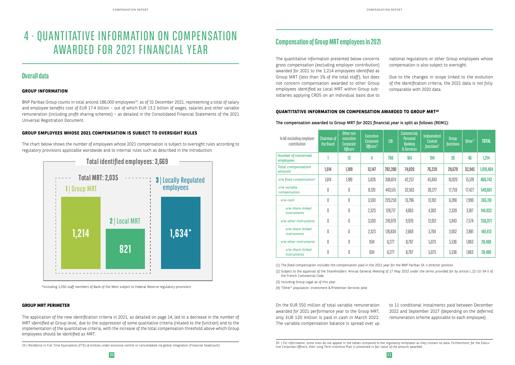# 4 · QUANTITATIVE INFORMATION ON COMPENSATION AWARDED FOR 2021 FINANCIAL YEAR

## **Overall data**

### **GROUP INFORMATION**

BNP Paribas Group counts in total around 186,000 employees<sup>19</sup>, as of 31 December 2021, representing a total of salary and employee benefits cost of EUR 17.4 billion – out of which EUR 13.2 billion of wages, salaries and other variable remuneration (including profit-sharing schemes) – as detailed in the Consolidated Financial Statements of the 2021 Universal Registration Document.

#### **GROUP EMPLOYEES WHOSE 2021 COMPENSATION IS SUBJECT TO OVERSIGHT RULES**

The chart below shows the number of employees whose 2021 compensation is subject to oversight rules according to regulatory provisions applicable worldwide and to internal rules such as described in the introduction.



\*Including 1,050 staff members of Bank of the West subject to Federal Reserve regulatory provisions

19 | Workforce in Full Time Equivalents (FTE) of entities under exclusive control or consolidated via global integration (Financial headcount)

## **Compensation of Group MRT employees in 2021**

The quantitative information presented below concerns gross compensation (excluding employer contribution) awarded for 2021 to the 1,214 employees identified as Group MRT (less than 1% of the total staff), but does not concern compensation awarded to other Group employees identified as Local MRT within Group subsidiaries applying CRD5 on an individual basis due to

national regulations or other Group employees whose compensation is also subject to oversight.

Due to the changes in scope linked to the evolution of the identification criteria, the 2021 data is not fully comparable with 2020 data.

### **QUANTITATIVE INFORMATION ON COMPENSATION AWARDED TO GROUP MRT20**

#### The compensation awarded to Group MRT for 2021 financial year is split as follows (REM1):

On the EUR 550 million of total variable remuneration awarded for 2021 performance year to the Group MRT, only EUR 120 million is paid in cash in March 2022. The variable compensation balance is spread over up

to 11 conditional instalments paid between December 2022 and September 2027 (depending on the deferred remuneration scheme applicable to each employee)..

(1) The fixed compensation includes the compensation paid in the 2021 year for the BNP Paribas SA 's dIrector position. (2) Subject to the approval of the Shareholders' Annual General Meeting of 17 May 2022 under the terms provided for by article L.22-10-34 II of the French Commercial Code.

(3) Including Group Legal as of this year.

(4) "Other" population: Investment & Protection Services pole.

#### **GROUP MRT PERIMETER**

The application of the new identification criteria in 2021, as detailed on page 14, led to a decrease in the number of MRT identified at Group level, due to the suppression of some qualitative criteria (related to the function) and to the implementation of the quantitative criteria, with the increase of the total compensation threshold above which Group employees should be identified as MRT.

| In k€ excluding employer<br>contribution | <b>Chairman of</b><br>the Board | Other non<br>executive<br>Corporate<br>Officers | Executive<br>Corporate<br>Officers <sup>2</sup> | <b>CIB</b> | Commercial,<br><b>Personal</b><br><b>Banking</b><br>& Services | Independent<br>Control<br>functions <sup>3</sup> | Group<br><b>functions</b> | Other <sup>4</sup> | <b>TOTAL</b> |
|------------------------------------------|---------------------------------|-------------------------------------------------|-------------------------------------------------|------------|----------------------------------------------------------------|--------------------------------------------------|---------------------------|--------------------|--------------|
| Number of concerned<br>employees         |                                 | 13                                              | 4                                               | 766        | 164                                                            | 194                                              | 26                        | 46                 | 1,214        |
| <b>Total compensation</b><br>amount      | 1,014                           | 1,189                                           | 13,147                                          | 782,390    | 74,820                                                         | 76,220                                           | 28,679                    | 32,945             | 1,010,404    |
| o/w fixed compensation <sup>1</sup>      | 1,014                           | 1,189                                           | 5,026                                           | 338,874    | 42,257                                                         | 45,943                                           | 10,920                    | 15,519             | 460,742      |
| o/w variable<br>compensation             | 0                               | 0                                               | 8,120                                           | 443,515    | 32,563                                                         | 30,277                                           | 17,759                    | 17,427             | 549,661      |
| o/w cash                                 | 0                               | 0                                               | 3,593                                           | 220,259    | 13,796                                                         | 13,192                                           | 6,280                     | 7,990              | 265,110      |
| o/w share-linked<br><i>instruments</i>   | 0                               | 0                                               | 2,323                                           | 128,717    | 4,063                                                          | 4,303                                            | 2,339                     | 3,187              | 144,932      |
| o/w other instruments                    | 0                               | 0                                               | 3,593                                           | 216,979    | 9,970                                                          | 12,012                                           | 5,943                     | 7,574              | 256,071      |
| o/w share-linked<br><i>instruments</i>   | 0                               | 0                                               | 2,323                                           | 126,834    | 2,669                                                          | 3,704                                            | 2,002                     | 2,881              | 140,413      |
| o/w other instruments                    | 0                               | 0                                               | 934                                             | 6,277      | 8,797                                                          | 5,073                                            | 5,536                     | 1,863              | 28,480       |
| o/w share-linked<br><i>instruments</i>   | 0                               | 0                                               | 934                                             | 6,277      | 8,797                                                          | 5,073                                            | 5,536                     | 1,863              | 28,480       |

<sup>20 |</sup> For information, some lines do not appear in the tables compared to the regulatory templates as they contain no data. Furthermore, for the Executive Corporate Officers, their Long Term Incentive Plan is presented in fair value of the amount awarded.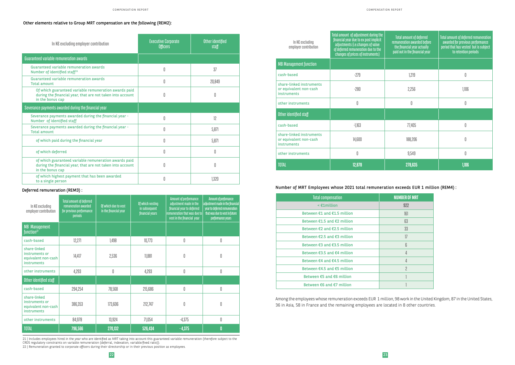### Number of MRT Employees whose 2021 total remuneration exceeds EUR 1 million (REM4) :

#### Other elements relative to Group MRT compensation are the following (REM2):

Among the employees whose remuneration exceeds EUR 1 million, 98 work in the United Kingdom, 87 in the United States, 36 in Asia, 58 in France and the remaining employees are located in 8 other countries.

| In $K\epsilon$ excluding employer contribution                                                                                          | <b>Executive Corporate</b><br><b>Officers</b> | Other identified<br>staff |
|-----------------------------------------------------------------------------------------------------------------------------------------|-----------------------------------------------|---------------------------|
| Guaranteed variable remuneration awards                                                                                                 |                                               |                           |
| Guaranteed variable remuneration awards<br>Number of identified staff <sup>21</sup>                                                     | 0                                             | 37                        |
| Guaranteed variable remuneration awards<br><b>Total amount</b>                                                                          | 0                                             | 20,849                    |
| Of which guaranteed variable remuneration awards paid<br>during the financial year, that are not taken into account<br>in the bonus cap | 0                                             | 0                         |
| Severance payments awarded during the financial year                                                                                    |                                               |                           |
| Severance payments awarded during the financial year -<br>Number of identified staff                                                    | 0                                             | 12                        |
| Severance payments awarded during the financial year -<br><b>Total amount</b>                                                           | 0                                             | 5,871                     |
| of which paid during the financial year                                                                                                 | Ŋ                                             | 5,871                     |
| of which deferred                                                                                                                       | 0                                             | 0                         |
| of which guaranteed variable remuneration awards paid<br>during the financial year, that are not taken into account<br>in the bonus cap | Ŋ                                             | N                         |
| of which highest payment that has been awarded<br>to a single person                                                                    | 0                                             | 1,320                     |

| In K€ excluding<br>employer contribution                             | <b>Total amount of deferred</b><br>remuneration awarded<br>for previous performance<br>periods | Of which due to vest<br>in the financial year | Of which vesting<br>in subsequent<br>financial years | Amount of performance<br>adjustment made in the<br>financial year to deferred<br>remuneration that was due to<br>vest in the financial year | Amount of perfomance<br>adjustment made in the financial<br>year to deferred remuneration<br>that was due to vest in future<br>performance years |
|----------------------------------------------------------------------|------------------------------------------------------------------------------------------------|-----------------------------------------------|------------------------------------------------------|---------------------------------------------------------------------------------------------------------------------------------------------|--------------------------------------------------------------------------------------------------------------------------------------------------|
| <b>MB</b> Management<br>function <sup>22</sup>                       |                                                                                                |                                               |                                                      |                                                                                                                                             |                                                                                                                                                  |
| cash-based                                                           | 12,271                                                                                         | 1,498                                         | 10,773                                               | 0                                                                                                                                           | 0                                                                                                                                                |
| share-linked<br>instruments or<br>equivalent non-cash<br>instruments | 14,417                                                                                         | 2,536                                         | 11,881                                               | 0                                                                                                                                           | 0                                                                                                                                                |
| other instruments                                                    | 4,293                                                                                          | 0                                             | 4,293                                                | 0                                                                                                                                           | 0                                                                                                                                                |
| Other identified staff                                               |                                                                                                |                                               |                                                      |                                                                                                                                             |                                                                                                                                                  |
| cash-based                                                           | 294,254                                                                                        | 78,568                                        | 215,686                                              | 0                                                                                                                                           | $\mathbb 0$                                                                                                                                      |
| share-linked<br>instruments or<br>equivalent non-cash<br>instruments | 386,353                                                                                        | 173,606                                       | 212,747                                              | 0                                                                                                                                           | 0                                                                                                                                                |
| other instruments                                                    | 84,978                                                                                         | 13,924                                        | 71,054                                               | $-4,375$                                                                                                                                    | 0                                                                                                                                                |
| <b>TOTAL</b>                                                         | 796,566                                                                                        | 270,132                                       | 526,434                                              | $-4,375$                                                                                                                                    | $\mathbf{0}$                                                                                                                                     |

21 | Includes employees hired in the year who are identified as MRT taking into account this guaranteed variable remuneration (therefore subject to the CRD5 regulatory constraints on variable remuneration (deferral, indexation, variable/fixed ratio)).

22 | Remuneration granted to corporate officers during their directorship or in their previous position as employees.

| <b>Total compensation</b>                       | <b>NUMBER OF MRT</b> |
|-------------------------------------------------|----------------------|
| $\leq$ £1million                                | 922                  |
| Between $£1$ and $£1.5$ million                 | 161                  |
| Between $£1.5$ and $£2$ million                 | 63                   |
| Between $\epsilon$ 2 and $\epsilon$ 2.5 million | 33                   |
| Between €2.5 and €3 million                     | 17                   |
| Between €3 and €3.5 million                     | ĥ                    |
| Between $\epsilon$ 3.5 and $\epsilon$ 4 million | 4                    |
| Between €4 and €4.5 million                     | 4                    |
| Between €4.5 and €5 million                     | 2                    |
| Between €5 and €6 million                       |                      |
| Between €6 and €7 million                       |                      |

#### Deferred remuneration (REM3) :

| In K€ excluding<br>employer contribution                                 | Total amount of adjustment during the<br>financial year due to ex post implicit<br>adjustments (i.e.changes of value<br>of deferred remuneration due to the<br>changes of prices of instruments) | <b>Total amount of deferred</b><br>remuneration awarded before<br>the financial year actually<br>paid out in the financial year | Total amount of deferred remuneration<br>awarded for previous performance<br>period that has vested but is subject<br>to retention periods |
|--------------------------------------------------------------------------|--------------------------------------------------------------------------------------------------------------------------------------------------------------------------------------------------|---------------------------------------------------------------------------------------------------------------------------------|--------------------------------------------------------------------------------------------------------------------------------------------|
| <b>MB Management function</b>                                            |                                                                                                                                                                                                  |                                                                                                                                 |                                                                                                                                            |
| cash-based                                                               | $-279$                                                                                                                                                                                           | 1,219                                                                                                                           | 0                                                                                                                                          |
| share-linked instruments<br>or equivalent non-cash<br><b>instruments</b> | $-280$                                                                                                                                                                                           | 2,256                                                                                                                           | 1,106                                                                                                                                      |
| other instruments                                                        | 0                                                                                                                                                                                                | 0                                                                                                                               | 0                                                                                                                                          |
| Other identified staff                                                   |                                                                                                                                                                                                  |                                                                                                                                 |                                                                                                                                            |
| cash-based                                                               | $-1,163$                                                                                                                                                                                         | 77,405                                                                                                                          | 0                                                                                                                                          |
| share-linked instruments<br>or equivalent non-cash<br><b>instruments</b> | 14,600                                                                                                                                                                                           | 188,206                                                                                                                         | 0                                                                                                                                          |
| other instruments                                                        | 0                                                                                                                                                                                                | 9,549                                                                                                                           | 0                                                                                                                                          |
| <b>TOTAL</b>                                                             | 12,878                                                                                                                                                                                           | 278,635                                                                                                                         | 1,106                                                                                                                                      |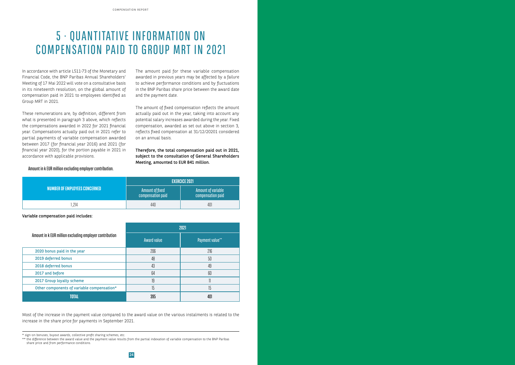## 5 · QUANTITATIVE INFORMATION ON COMPENSATION PAID TO GROUP MRT IN 2021

In accordance with article L511-73 of the Monetary and Financial Code, the BNP Paribas Annual Shareholders' Meeting of 17 Mai 2022 will vote on a consultative basis in its nineteenth resolution, on the global amount of compensation paid in 2021 to employees identified as Group MRT in 2021.

These remunerations are, by definition, different from what is presented in paragraph 3 above, which reflects the compensations awarded in 2022 for 2021 financial year. Compensations actually paid out in 2021 refer to partial payments of variable compensation awarded between 2017 (for financial year 2016) and 2021 (for financial year 2020), for the portion payable in 2021 in accordance with applicable provisions.

The amount paid for these variable compensation awarded in previous years may be affected by a failure to achieve performance conditions and by fluctuations in the BNP Paribas share price between the award date and the payment date.

The amount of fixed compensation reflects the amount actually paid out in the year, taking into account any potential salary increases awarded during the year. Fixed compensation, awarded as set out above in section 3, reflects fixed compensation at 31/12/20201 considered on an annual basis.

Therefore, the total compensation paid out in 2021, subject to the consultation of General Shareholders Meeting, amounted to EUR 841 million.

Variable compensation paid includes:

Most of the increase in the payment value compared to the award value on the various instalments is related to the increase in the share price for payments in September 2021.

Amount in k EUR million excluding employer contribution.

|                                      | <b>EXERCICE 2021</b>                 |                                                   |  |
|--------------------------------------|--------------------------------------|---------------------------------------------------|--|
| <b>NUMBER OF EMPLOYEES CONCERNED</b> | Amount of fixed<br>compensation paid | $\,$ Amount of variable $\,$<br>compensation paid |  |
| ,214                                 | 440                                  | 401                                               |  |

|                                                         | 2021               |                        |  |
|---------------------------------------------------------|--------------------|------------------------|--|
| Amount in k EUR million excluding employer contribution | <b>Award value</b> | <b>Payment value**</b> |  |
| 2020 bonus paid in the year                             | 206                | 216                    |  |
| 2019 deferred bonus                                     | 48                 | 50                     |  |
| 2018 deferred bonus                                     | 43                 | 49                     |  |
| 2017 and before                                         | 64                 | 60                     |  |
| 2017 Group loyalty scheme                               | 19                 | 11                     |  |
| Other components of variable compensation*              | 15                 | 15                     |  |
| <b>TOTAL</b>                                            | 395                | 401                    |  |

<sup>\*\*</sup> the difference between the award value and the payment value results from the partial indexation of variable compensation to the BNP Paribas share price and from performance conditions.

<sup>\*</sup> sign-on bonuses, buyout awards, collective profit sharing schemes, etc.